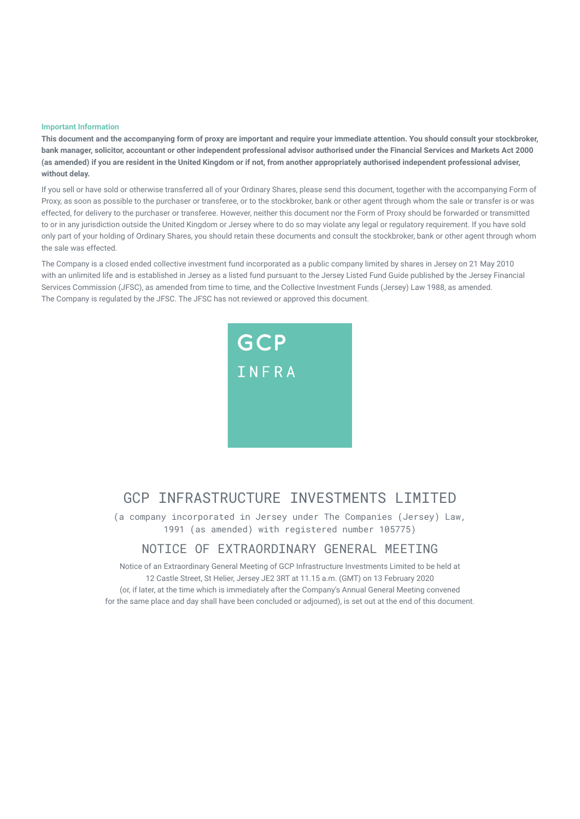#### **Important Information**

**This document and the accompanying form of proxy are important and require your immediate attention. You should consult your stockbroker, bank manager, solicitor, accountant or other independent professional advisor authorised under the Financial Services and Markets Act 2000 (as amended) if you are resident in the United Kingdom or if not, from another appropriately authorised independent professional adviser, without delay.** 

If you sell or have sold or otherwise transferred all of your Ordinary Shares, please send this document, together with the accompanying Form of Proxy, as soon as possible to the purchaser or transferee, or to the stockbroker, bank or other agent through whom the sale or transfer is or was effected, for delivery to the purchaser or transferee. However, neither this document nor the Form of Proxy should be forwarded or transmitted to or in any jurisdiction outside the United Kingdom or Jersey where to do so may violate any legal or regulatory requirement. If you have sold only part of your holding of Ordinary Shares, you should retain these documents and consult the stockbroker, bank or other agent through whom the sale was effected.

The Company is a closed ended collective investment fund incorporated as a public company limited by shares in Jersey on 21 May 2010 with an unlimited life and is established in Jersey as a listed fund pursuant to the Jersey Listed Fund Guide published by the Jersey Financial Services Commission (JFSC), as amended from time to time, and the Collective Investment Funds (Jersey) Law 1988, as amended. The Company is regulated by the JFSC. The JFSC has not reviewed or approved this document.



## GCP INFRASTRUCTURE INVESTMENTS I IMITED

(a company incorporated in Jersey under The Companies (Jersey) Law, 1991 (as amended) with registered number 105775)

### NOTICE OF EXTRAORDINARY GENERAL MEETING

Notice of an Extraordinary General Meeting of GCP Infrastructure Investments Limited to be held at 12 Castle Street, St Helier, Jersey JE2 3RT at 11.15 a.m. (GMT) on 13 February 2020 (or, if later, at the time which is immediately after the Company's Annual General Meeting convened for the same place and day shall have been concluded or adjourned), is set out at the end of this document.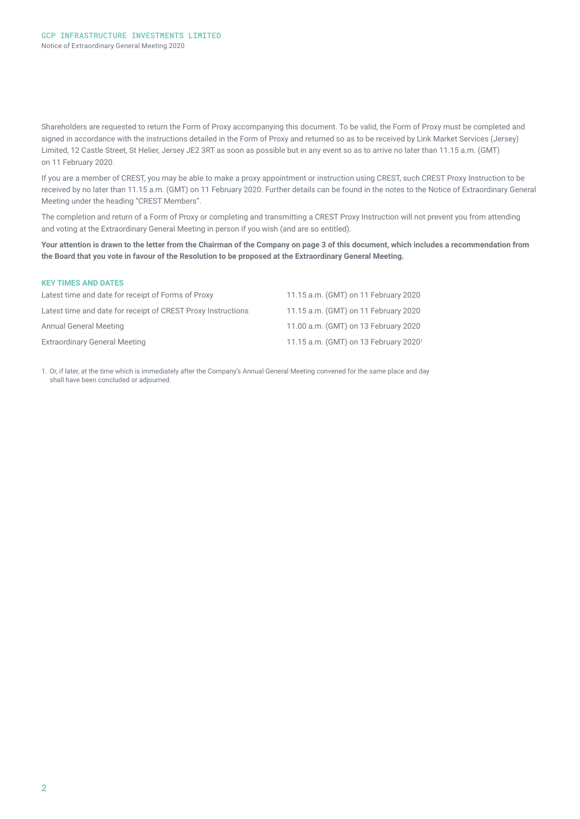Shareholders are requested to return the Form of Proxy accompanying this document. To be valid, the Form of Proxy must be completed and signed in accordance with the instructions detailed in the Form of Proxy and returned so as to be received by Link Market Services (Jersey) Limited, 12 Castle Street, St Helier, Jersey JE2 3RT as soon as possible but in any event so as to arrive no later than 11.15 a.m. (GMT) on 11 February 2020.

If you are a member of CREST, you may be able to make a proxy appointment or instruction using CREST, such CREST Proxy Instruction to be received by no later than 11.15 a.m. (GMT) on 11 February 2020. Further details can be found in the notes to the Notice of Extraordinary General Meeting under the heading "CREST Members".

The completion and return of a Form of Proxy or completing and transmitting a CREST Proxy Instruction will not prevent you from attending and voting at the Extraordinary General Meeting in person if you wish (and are so entitled).

**Your attention is drawn to the letter from the Chairman of the Company on page 3 of this document, which includes a recommendation from the Board that you vote in favour of the Resolution to be proposed at the Extraordinary General Meeting.** 

| <b>KEY TIMES AND DATES</b>                                   |                                                   |
|--------------------------------------------------------------|---------------------------------------------------|
| Latest time and date for receipt of Forms of Proxy           | 11.15 a.m. (GMT) on 11 February 2020              |
| Latest time and date for receipt of CREST Proxy Instructions | 11.15 a.m. (GMT) on 11 February 2020              |
| <b>Annual General Meeting</b>                                | 11.00 a.m. (GMT) on 13 February 2020              |
| <b>Extraordinary General Meeting</b>                         | 11.15 a.m. (GMT) on 13 February 2020 <sup>1</sup> |

1. Or, if later, at the time which is immediately after the Company's Annual General Meeting convened for the same place and day shall have been concluded or adjourned.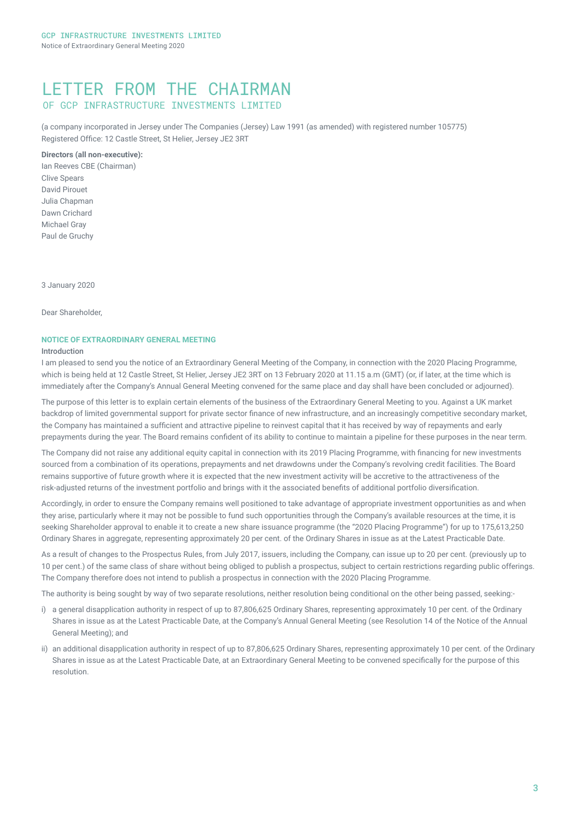### LETTER FROM THE CHAIRMAN OF GCP INFRASTRUCTURE INVESTMENTS LIMITED

(a company incorporated in Jersey under The Companies (Jersey) Law 1991 (as amended) with registered number 105775) Registered Office: 12 Castle Street, St Helier, Jersey JE2 3RT

### **Directors (all non-executive):**

Ian Reeves CBE (Chairman) Clive Spears David Pirouet Julia Chapman Dawn Crichard Michael Gray Paul de Gruchy

3 January 2020

Dear Shareholder,

### **NOTICE OF EXTRAORDINARY GENERAL MEETING**

#### Introduction

I am pleased to send you the notice of an Extraordinary General Meeting of the Company, in connection with the 2020 Placing Programme, which is being held at 12 Castle Street, St Helier, Jersey JE2 3RT on 13 February 2020 at 11.15 a.m (GMT) (or, if later, at the time which is immediately after the Company's Annual General Meeting convened for the same place and day shall have been concluded or adjourned).

The purpose of this letter is to explain certain elements of the business of the Extraordinary General Meeting to you. Against a UK market backdrop of limited governmental support for private sector finance of new infrastructure, and an increasingly competitive secondary market, the Company has maintained a sufficient and attractive pipeline to reinvest capital that it has received by way of repayments and early prepayments during the year. The Board remains confident of its ability to continue to maintain a pipeline for these purposes in the near term.

The Company did not raise any additional equity capital in connection with its 2019 Placing Programme, with financing for new investments sourced from a combination of its operations, prepayments and net drawdowns under the Company's revolving credit facilities. The Board remains supportive of future growth where it is expected that the new investment activity will be accretive to the attractiveness of the risk‑adjusted returns of the investment portfolio and brings with it the associated benefits of additional portfolio diversification.

Accordingly, in order to ensure the Company remains well positioned to take advantage of appropriate investment opportunities as and when they arise, particularly where it may not be possible to fund such opportunities through the Company's available resources at the time, it is seeking Shareholder approval to enable it to create a new share issuance programme (the "2020 Placing Programme") for up to 175,613,250 Ordinary Shares in aggregate, representing approximately 20 per cent. of the Ordinary Shares in issue as at the Latest Practicable Date.

As a result of changes to the Prospectus Rules, from July 2017, issuers, including the Company, can issue up to 20 per cent. (previously up to 10 per cent.) of the same class of share without being obliged to publish a prospectus, subject to certain restrictions regarding public offerings. The Company therefore does not intend to publish a prospectus in connection with the 2020 Placing Programme.

The authority is being sought by way of two separate resolutions, neither resolution being conditional on the other being passed, seeking:-

- i) a general disapplication authority in respect of up to 87,806,625 Ordinary Shares, representing approximately 10 per cent. of the Ordinary Shares in issue as at the Latest Practicable Date, at the Company's Annual General Meeting (see Resolution 14 of the Notice of the Annual General Meeting); and
- ii) an additional disapplication authority in respect of up to 87,806,625 Ordinary Shares, representing approximately 10 per cent. of the Ordinary Shares in issue as at the Latest Practicable Date, at an Extraordinary General Meeting to be convened specifically for the purpose of this resolution.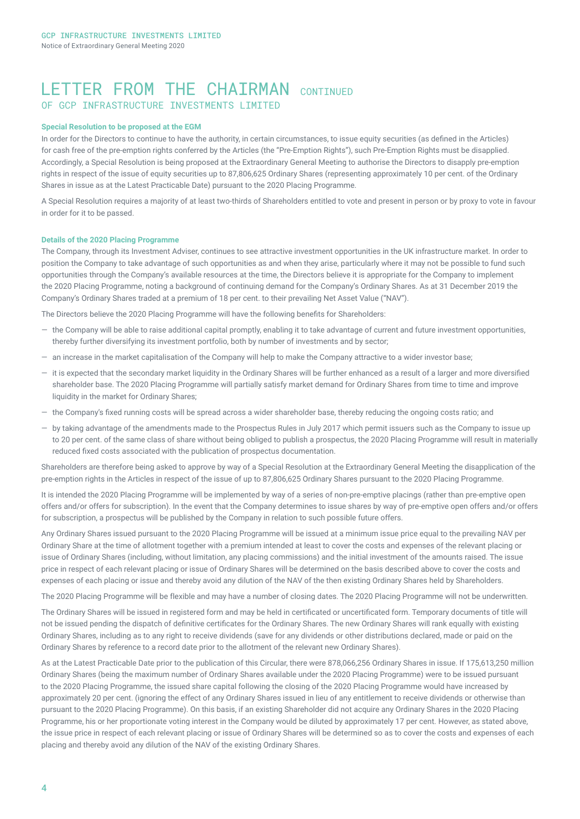### LETTER FROM THE CHATRMAN CONTINUED OF GCP INFRASTRUCTURE INVESTMENTS LIMITED

#### **Special Resolution to be proposed at the EGM**

In order for the Directors to continue to have the authority, in certain circumstances, to issue equity securities (as defined in the Articles) for cash free of the pre-emption rights conferred by the Articles (the "Pre-Emption Rights"), such Pre-Emption Rights must be disapplied. Accordingly, a Special Resolution is being proposed at the Extraordinary General Meeting to authorise the Directors to disapply pre-emption rights in respect of the issue of equity securities up to 87,806,625 Ordinary Shares (representing approximately 10 per cent. of the Ordinary Shares in issue as at the Latest Practicable Date) pursuant to the 2020 Placing Programme.

A Special Resolution requires a majority of at least two-thirds of Shareholders entitled to vote and present in person or by proxy to vote in favour in order for it to be passed.

#### **Details of the 2020 Placing Programme**

The Company, through its Investment Adviser, continues to see attractive investment opportunities in the UK infrastructure market. In order to position the Company to take advantage of such opportunities as and when they arise, particularly where it may not be possible to fund such opportunities through the Company's available resources at the time, the Directors believe it is appropriate for the Company to implement the 2020 Placing Programme, noting a background of continuing demand for the Company's Ordinary Shares. As at 31 December 2019 the Company's Ordinary Shares traded at a premium of 18 per cent. to their prevailing Net Asset Value ("NAV").

The Directors believe the 2020 Placing Programme will have the following benefits for Shareholders:

- ― the Company will be able to raise additional capital promptly, enabling it to take advantage of current and future investment opportunities, thereby further diversifying its investment portfolio, both by number of investments and by sector;
- ― an increase in the market capitalisation of the Company will help to make the Company attractive to a wider investor base;
- ― it is expected that the secondary market liquidity in the Ordinary Shares will be further enhanced as a result of a larger and more diversified shareholder base. The 2020 Placing Programme will partially satisfy market demand for Ordinary Shares from time to time and improve liquidity in the market for Ordinary Shares;
- ― the Company's fixed running costs will be spread across a wider shareholder base, thereby reducing the ongoing costs ratio; and
- ― by taking advantage of the amendments made to the Prospectus Rules in July 2017 which permit issuers such as the Company to issue up to 20 per cent. of the same class of share without being obliged to publish a prospectus, the 2020 Placing Programme will result in materially reduced fixed costs associated with the publication of prospectus documentation.

Shareholders are therefore being asked to approve by way of a Special Resolution at the Extraordinary General Meeting the disapplication of the pre-emption rights in the Articles in respect of the issue of up to 87,806,625 Ordinary Shares pursuant to the 2020 Placing Programme.

It is intended the 2020 Placing Programme will be implemented by way of a series of non-pre-emptive placings (rather than pre-emptive open offers and/or offers for subscription). In the event that the Company determines to issue shares by way of pre-emptive open offers and/or offers for subscription, a prospectus will be published by the Company in relation to such possible future offers.

Any Ordinary Shares issued pursuant to the 2020 Placing Programme will be issued at a minimum issue price equal to the prevailing NAV per Ordinary Share at the time of allotment together with a premium intended at least to cover the costs and expenses of the relevant placing or issue of Ordinary Shares (including, without limitation, any placing commissions) and the initial investment of the amounts raised. The issue price in respect of each relevant placing or issue of Ordinary Shares will be determined on the basis described above to cover the costs and expenses of each placing or issue and thereby avoid any dilution of the NAV of the then existing Ordinary Shares held by Shareholders.

The 2020 Placing Programme will be flexible and may have a number of closing dates. The 2020 Placing Programme will not be underwritten.

The Ordinary Shares will be issued in registered form and may be held in certificated or uncertificated form. Temporary documents of title will not be issued pending the dispatch of definitive certificates for the Ordinary Shares. The new Ordinary Shares will rank equally with existing Ordinary Shares, including as to any right to receive dividends (save for any dividends or other distributions declared, made or paid on the Ordinary Shares by reference to a record date prior to the allotment of the relevant new Ordinary Shares).

As at the Latest Practicable Date prior to the publication of this Circular, there were 878,066,256 Ordinary Shares in issue. If 175,613,250 million Ordinary Shares (being the maximum number of Ordinary Shares available under the 2020 Placing Programme) were to be issued pursuant to the 2020 Placing Programme, the issued share capital following the closing of the 2020 Placing Programme would have increased by approximately 20 per cent. (ignoring the effect of any Ordinary Shares issued in lieu of any entitlement to receive dividends or otherwise than pursuant to the 2020 Placing Programme). On this basis, if an existing Shareholder did not acquire any Ordinary Shares in the 2020 Placing Programme, his or her proportionate voting interest in the Company would be diluted by approximately 17 per cent. However, as stated above, the issue price in respect of each relevant placing or issue of Ordinary Shares will be determined so as to cover the costs and expenses of each placing and thereby avoid any dilution of the NAV of the existing Ordinary Shares.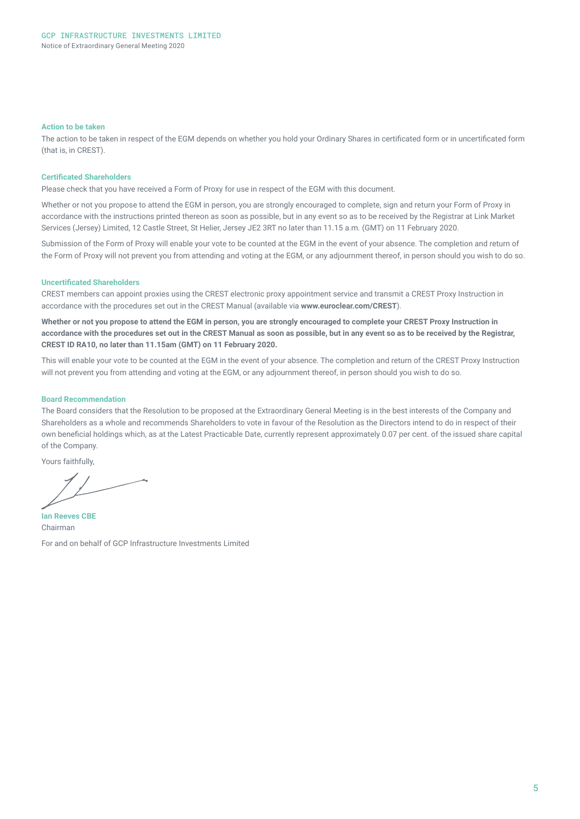#### **Action to be taken**

The action to be taken in respect of the EGM depends on whether you hold your Ordinary Shares in certificated form or in uncertificated form (that is, in CREST).

#### **Certificated Shareholders**

Please check that you have received a Form of Proxy for use in respect of the EGM with this document.

Whether or not you propose to attend the EGM in person, you are strongly encouraged to complete, sign and return your Form of Proxy in accordance with the instructions printed thereon as soon as possible, but in any event so as to be received by the Registrar at Link Market Services (Jersey) Limited, 12 Castle Street, St Helier, Jersey JE2 3RT no later than 11.15 a.m. (GMT) on 11 February 2020.

Submission of the Form of Proxy will enable your vote to be counted at the EGM in the event of your absence. The completion and return of the Form of Proxy will not prevent you from attending and voting at the EGM, or any adjournment thereof, in person should you wish to do so.

#### **Uncertificated Shareholders**

CREST members can appoint proxies using the CREST electronic proxy appointment service and transmit a CREST Proxy Instruction in accordance with the procedures set out in the CREST Manual (available via **www.euroclear.com/CREST**).

**Whether or not you propose to attend the EGM in person, you are strongly encouraged to complete your CREST Proxy Instruction in accordance with the procedures set out in the CREST Manual as soon as possible, but in any event so as to be received by the Registrar, CREST ID RA10, no later than 11.15am (GMT) on 11 February 2020.**

This will enable your vote to be counted at the EGM in the event of your absence. The completion and return of the CREST Proxy Instruction will not prevent you from attending and voting at the EGM, or any adjournment thereof, in person should you wish to do so.

#### **Board Recommendation**

The Board considers that the Resolution to be proposed at the Extraordinary General Meeting is in the best interests of the Company and Shareholders as a whole and recommends Shareholders to vote in favour of the Resolution as the Directors intend to do in respect of their own beneficial holdings which, as at the Latest Practicable Date, currently represent approximately 0.07 per cent. of the issued share capital of the Company.

Yours faithfully,

**Ian Reeves CBE**  Chairman For and on behalf of GCP Infrastructure Investments Limited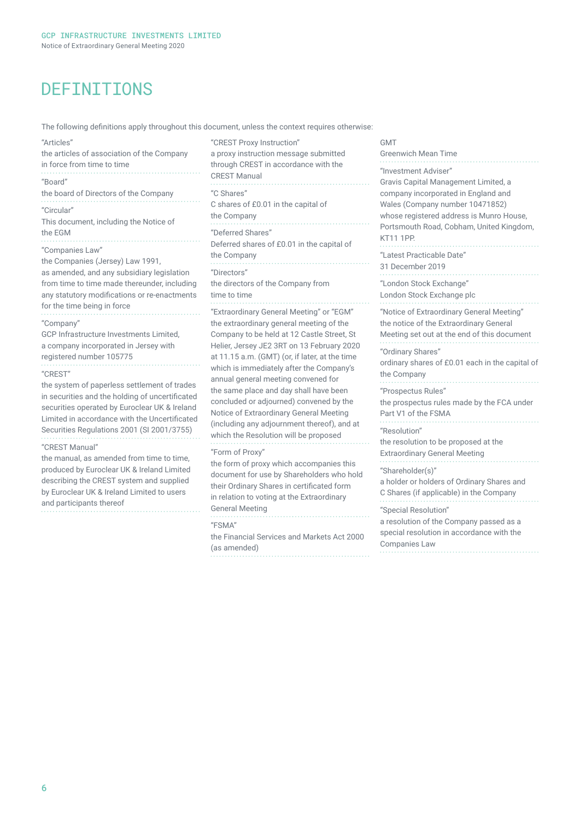# DEFINITIONS

The following definitions apply throughout this document, unless the context requires otherwise:

| "Articles"<br>the articles of association of the Company<br>in force from time to time                                                                                                                                                                                                                                                                                                  | "CREST Proxy Instruction"<br>a proxy instruction messa<br>through CREST in accorda<br><b>CREST Manual</b>                                                                                                                                                                                                                          |
|-----------------------------------------------------------------------------------------------------------------------------------------------------------------------------------------------------------------------------------------------------------------------------------------------------------------------------------------------------------------------------------------|------------------------------------------------------------------------------------------------------------------------------------------------------------------------------------------------------------------------------------------------------------------------------------------------------------------------------------|
| "Board"<br>the board of Directors of the Company<br>"Circular"<br>This document, including the Notice of<br>the EGM<br>"Companies Law"<br>the Companies (Jersey) Law 1991,<br>as amended, and any subsidiary legislation<br>from time to time made thereunder, including<br>any statutory modifications or re-enactments<br>for the time being in force                                 | "C Shares"<br>C shares of £0.01 in the ca<br>the Company<br>"Deferred Shares"<br>Deferred shares of £0.01 ii<br>the Company<br>"Directors"<br>the directors of the Compa<br>time to time<br>"Extraordinary General Me                                                                                                              |
| "Company"<br>GCP Infrastructure Investments Limited,<br>a company incorporated in Jersey with<br>registered number 105775<br>"CREST"<br>the system of paperless settlement of trades<br>in securities and the holding of uncertificated<br>securities operated by Euroclear UK & Ireland<br>Limited in accordance with the Uncertificated<br>Securities Regulations 2001 (SI 2001/3755) | the extraordinary general r<br>Company to be held at 12<br>Helier, Jersey JE2 3RT on<br>at 11.15 a.m. (GMT) (or, if<br>which is immediately after<br>annual general meeting co<br>the same place and day sh<br>concluded or adjourned) c<br>Notice of Extraordinary Ge<br>(including any adjournmen<br>which the Resolution will b |
| "CREST Manual"<br>the manual, as amended from time to time,<br>produced by Euroclear UK & Ireland Limited<br>describing the CREST system and supplied<br>by Euroclear UK & Ireland Limited to users<br>and participants thereof                                                                                                                                                         | "Form of Proxy"<br>the form of proxy which ad<br>document for use by Share<br>their Ordinary Shares in ce<br>in relation to voting at the<br>concentrated and activities of                                                                                                                                                        |

istruction message submitted REST in accordance with the lanual "C Shares" of £0.01 in the capital of dany Shares" shares of £0.01 in the capital of dany  $S''$ tors of the Company from me . . . . . . . . . . . . . . . . . . . . . inary General Meeting" or "EGM" ordinary general meeting of the to be held at 12 Castle Street, St rsey JE2 3RT on 13 February 2020 a.m. (GMT) (or, if later, at the time immediately after the Company's eneral meeting convened for place and day shall have been d or adjourned) convened by the **Extraordinary General Meeting** q any adjournment thereof), and at Resolution will be proposed Proxy" of proxy which accompanies this t for use by Shareholders who hold nary Shares in certificated form n to voting at the Extraordinary General Meeting "FSMA"

the Financial Services and Markets Act 2000 (as amended) 

#### GMT

| Greenwich Mean Time                                                                  |
|--------------------------------------------------------------------------------------|
| "Investment Adviser"                                                                 |
| Gravis Capital Management Limited, a                                                 |
| company incorporated in England and                                                  |
| Wales (Company number 10471852)                                                      |
| whose registered address is Munro House,                                             |
| Portsmouth Road, Cobham, United Kingdom,<br><b>KT11 1PP.</b>                         |
|                                                                                      |
| "Latest Practicable Date"                                                            |
| 31 December 2019                                                                     |
| "London Stock Exchange"                                                              |
| London Stock Exchange plc                                                            |
|                                                                                      |
| "Notice of Extraordinary General Meeting"<br>the notice of the Extraordinary General |
| Meeting set out at the end of this document                                          |
|                                                                                      |
| "Ordinary Shares"                                                                    |
| ordinary shares of £0.01 each in the capital of                                      |
| the Company                                                                          |
| "Prospectus Rules"                                                                   |
| the prospectus rules made by the FCA under                                           |
| Part V1 of the FSMA                                                                  |
| "Resolution"                                                                         |
| the resolution to be proposed at the                                                 |
| <b>Extraordinary General Meeting</b>                                                 |
| "Shareholder(s)"                                                                     |
| a holder or holders of Ordinary Shares and                                           |
| C Shares (if applicable) in the Company                                              |
|                                                                                      |
| "Special Resolution"                                                                 |
| a resolution of the Company passed as a<br>special resolution in accordance with the |
| Companies Law                                                                        |
|                                                                                      |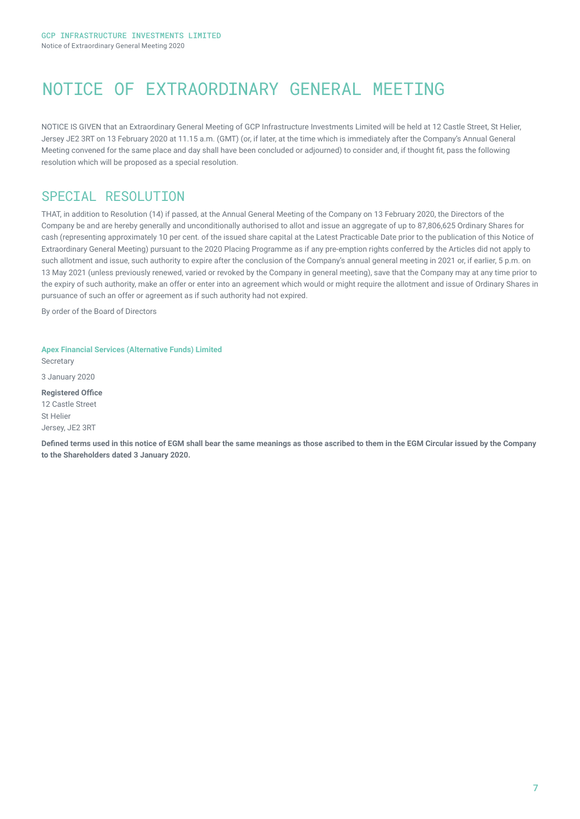# NOTICE OF EXTRAORDINARY GENERAL MEETING

NOTICE IS GIVEN that an Extraordinary General Meeting of GCP Infrastructure Investments Limited will be held at 12 Castle Street, St Helier, Jersey JE2 3RT on 13 February 2020 at 11.15 a.m. (GMT) (or, if later, at the time which is immediately after the Company's Annual General Meeting convened for the same place and day shall have been concluded or adjourned) to consider and, if thought fit, pass the following resolution which will be proposed as a special resolution.

## SPECIAL RESOLUTION

THAT, in addition to Resolution (14) if passed, at the Annual General Meeting of the Company on 13 February 2020, the Directors of the Company be and are hereby generally and unconditionally authorised to allot and issue an aggregate of up to 87,806,625 Ordinary Shares for cash (representing approximately 10 per cent. of the issued share capital at the Latest Practicable Date prior to the publication of this Notice of Extraordinary General Meeting) pursuant to the 2020 Placing Programme as if any pre-emption rights conferred by the Articles did not apply to such allotment and issue, such authority to expire after the conclusion of the Company's annual general meeting in 2021 or, if earlier, 5 p.m. on 13 May 2021 (unless previously renewed, varied or revoked by the Company in general meeting), save that the Company may at any time prior to the expiry of such authority, make an offer or enter into an agreement which would or might require the allotment and issue of Ordinary Shares in pursuance of such an offer or agreement as if such authority had not expired.

By order of the Board of Directors

**Apex Financial Services (Alternative Funds) Limited** Secretary 3 January 2020 **Registered Office** 12 Castle Street St Helier Jersey, JE2 3RT

**Defined terms used in this notice of EGM shall bear the same meanings as those ascribed to them in the EGM Circular issued by the Company to the Shareholders dated 3 January 2020.**